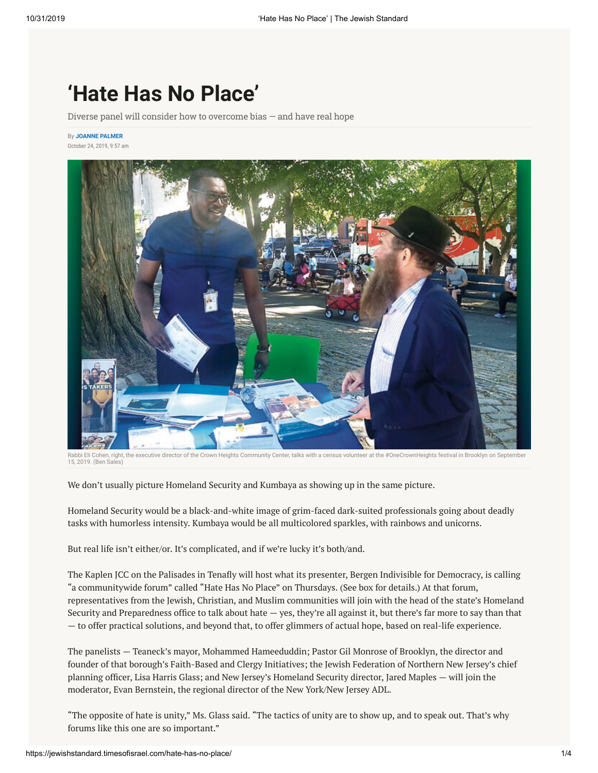## **'Hate Has No Place'**

Diverse panel will consider how to overcome bias — and have real hope

By **[JOANNE PALMER](https://jewishstandard.timesofisrael.com/writers/joanne-palmer/)** October 24, 2019, 9:57 am



Rabbi Eli Cohen, right, the executive director of the Crown Heights Community Center, talks with a census volunteer at the #OneCrownHeights festival in Brooklyn on September 15, 2019. (Ben Sales)

We don't usually picture Homeland Security and Kumbaya as showing up in the same picture.

Homeland Security would be a black-and-white image of grim-faced dark-suited professionals going about deadly tasks with humorless intensity. Kumbaya would be all multicolored sparkles, with rainbows and unicorns.

But real life isn't either/or. It's complicated, and if we're lucky it's both/and.

The Kaplen JCC on the Palisades in Tenafly will host what its presenter, Bergen Indivisible for Democracy, is calling "a communitywide forum" called "Hate Has No Place" on Thursdays. (See box for details.) At that forum, representatives from the Jewish, Christian, and Muslim communities will join with the head of the state's Homeland Security and Preparedness office to talk about hate  $-$  yes, they're all against it, but there's far more to say than that — to offer practical solutions, and beyond that, to offer glimmers of actual hope, based on real-life experience.

The panelists — Teaneck's mayor, Mohammed Hameeduddin; Pastor Gil Monrose of Brooklyn, the director and founder of that borough's Faith-Based and Clergy Initiatives; the Jewish Federation of Northern New Jersey's chief planning officer, Lisa Harris Glass; and New Jersey's Homeland Security director, Jared Maples — will join the moderator, Evan Bernstein, the regional director of the New York/New Jersey ADL.

"The opposite of hate is unity," Ms. Glass said. "The tactics of unity are to show up, and to speak out. That's why forums like this one are so important."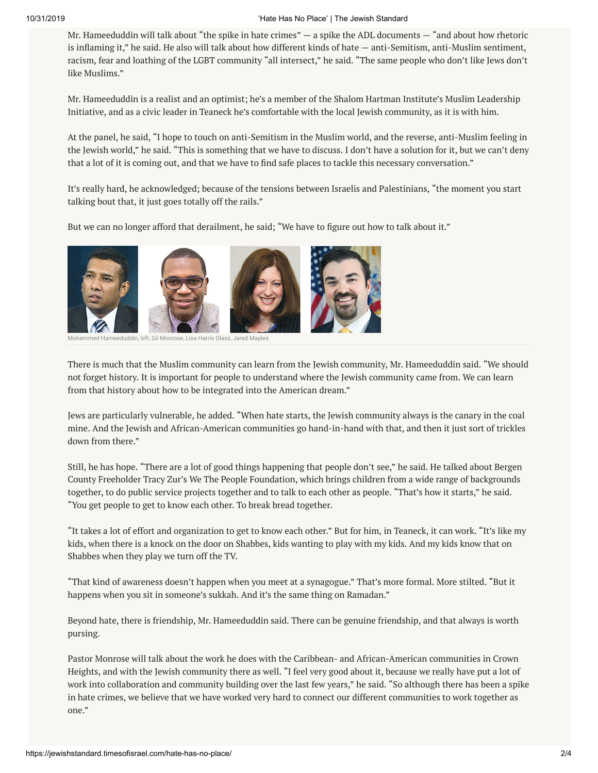## 10/31/2019 'Hate Has No Place' | The Jewish Standard

Mr. Hameeduddin will talk about "the spike in hate crimes"  $-$  a spike the ADL documents  $-$  "and about how rhetoric is inflaming it," he said. He also will talk about how different kinds of hate — anti-Semitism, anti-Muslim sentiment, racism, fear and loathing of the LGBT community "all intersect," he said. "The same people who don't like Jews don't like Muslims."

Mr. Hameeduddin is a realist and an optimist; he's a member of the Shalom Hartman Institute's Muslim Leadership Initiative, and as a civic leader in Teaneck he's comfortable with the local Jewish community, as it is with him.

At the panel, he said, "I hope to touch on anti-Semitism in the Muslim world, and the reverse, anti-Muslim feeling in the Jewish world," he said. "This is something that we have to discuss. I don't have a solution for it, but we can't deny that a lot of it is coming out, and that we have to find safe places to tackle this necessary conversation."

It's really hard, he acknowledged; because of the tensions between Israelis and Palestinians, "the moment you start talking bout that, it just goes totally off the rails."

But we can no longer afford that derailment, he said; "We have to figure out how to talk about it."



d Hameeduddin, left, Gil Monrose, Lisa Harris Glass, Jared Maples

There is much that the Muslim community can learn from the Jewish community, Mr. Hameeduddin said. "We should not forget history. It is important for people to understand where the Jewish community came from. We can learn from that history about how to be integrated into the American dream."

Jews are particularly vulnerable, he added. "When hate starts, the Jewish community always is the canary in the coal mine. And the Jewish and African-American communities go hand-in-hand with that, and then it just sort of trickles down from there."

Still, he has hope. "There are a lot of good things happening that people don't see," he said. He talked about Bergen County Freeholder Tracy Zur's We The People Foundation, which brings children from a wide range of backgrounds together, to do public service projects together and to talk to each other as people. "That's how it starts," he said. "You get people to get to know each other. To break bread together.

"It takes a lot of effort and organization to get to know each other." But for him, in Teaneck, it can work. "It's like my kids, when there is a knock on the door on Shabbes, kids wanting to play with my kids. And my kids know that on Shabbes when they play we turn off the TV.

"That kind of awareness doesn't happen when you meet at a synagogue." That's more formal. More stilted. "But it happens when you sit in someone's sukkah. And it's the same thing on Ramadan."

Beyond hate, there is friendship, Mr. Hameeduddin said. There can be genuine friendship, and that always is worth pursing.

Pastor Monrose will talk about the work he does with the Caribbean- and African-American communities in Crown Heights, and with the Jewish community there as well. "I feel very good about it, because we really have put a lot of work into collaboration and community building over the last few years," he said. "So although there has been a spike in hate crimes, we believe that we have worked very hard to connect our different communities to work together as one."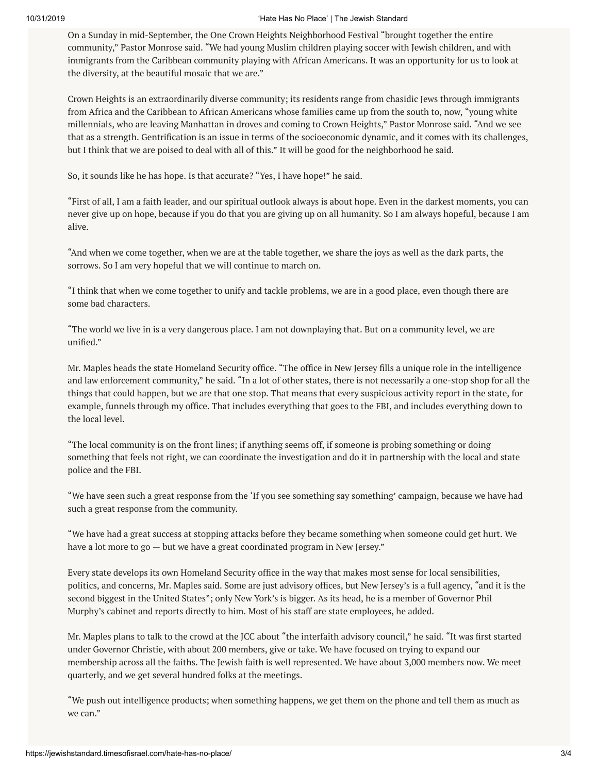## 10/31/2019 'Hate Has No Place' | The Jewish Standard

On a Sunday in mid-September, the One Crown Heights Neighborhood Festival "brought together the entire community," Pastor Monrose said. "We had young Muslim children playing soccer with Jewish children, and with immigrants from the Caribbean community playing with African Americans. It was an opportunity for us to look at the diversity, at the beautiful mosaic that we are."

Crown Heights is an extraordinarily diverse community; its residents range from chasidic Jews through immigrants from Africa and the Caribbean to African Americans whose families came up from the south to, now, "young white millennials, who are leaving Manhattan in droves and coming to Crown Heights," Pastor Monrose said. "And we see that as a strength. Gentrification is an issue in terms of the socioeconomic dynamic, and it comes with its challenges, but I think that we are poised to deal with all of this." It will be good for the neighborhood he said.

So, it sounds like he has hope. Is that accurate? "Yes, I have hope!" he said.

"First of all, I am a faith leader, and our spiritual outlook always is about hope. Even in the darkest moments, you can never give up on hope, because if you do that you are giving up on all humanity. So I am always hopeful, because I am alive.

"And when we come together, when we are at the table together, we share the joys as well as the dark parts, the sorrows. So I am very hopeful that we will continue to march on.

"I think that when we come together to unify and tackle problems, we are in a good place, even though there are some bad characters.

"The world we live in is a very dangerous place. I am not downplaying that. But on a community level, we are unified."

Mr. Maples heads the state Homeland Security office. "The office in New Jersey fills a unique role in the intelligence and law enforcement community," he said. "In a lot of other states, there is not necessarily a one-stop shop for all the things that could happen, but we are that one stop. That means that every suspicious activity report in the state, for example, funnels through my office. That includes everything that goes to the FBI, and includes everything down to the local level.

"The local community is on the front lines; if anything seems off, if someone is probing something or doing something that feels not right, we can coordinate the investigation and do it in partnership with the local and state police and the FBI.

"We have seen such a great response from the 'If you see something say something' campaign, because we have had such a great response from the community.

"We have had a great success at stopping attacks before they became something when someone could get hurt. We have a lot more to go - but we have a great coordinated program in New Jersey."

Every state develops its own Homeland Security office in the way that makes most sense for local sensibilities, politics, and concerns, Mr. Maples said. Some are just advisory offices, but New Jersey's is a full agency, "and it is the second biggest in the United States"; only New York's is bigger. As its head, he is a member of Governor Phil Murphy's cabinet and reports directly to him. Most of his staff are state employees, he added.

Mr. Maples plans to talk to the crowd at the JCC about "the interfaith advisory council," he said. "It was first started under Governor Christie, with about 200 members, give or take. We have focused on trying to expand our membership across all the faiths. The Jewish faith is well represented. We have about 3,000 members now. We meet quarterly, and we get several hundred folks at the meetings.

"We push out intelligence products; when something happens, we get them on the phone and tell them as much as we can."